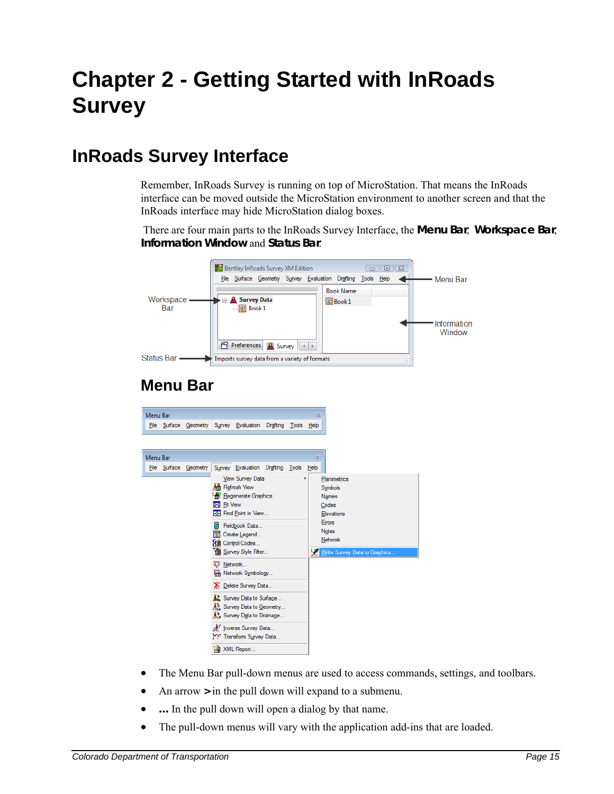# **Chapter 2 - Getting Started with InRoads Survey**

### **InRoads Survey Interface**

Remember, InRoads Survey is running on top of MicroStation. That means the InRoads interface can be moved outside the MicroStation environment to another screen and that the InRoads interface may hide MicroStation dialog boxes.

 There are four main parts to the InRoads Survey Interface, the **Menu Bar**, **Workspace Bar**, **Information Window** and **Status Bar**.

|                       | Bentley InRoads Survey XM Edition<br>回忆<br>$=$ $\parallel$<br>File Surface Geometry Survey Evaluation Drafting Tools Help | <b>Menu Bar</b>       |
|-----------------------|---------------------------------------------------------------------------------------------------------------------------|-----------------------|
| Workspace -<br>Bar    | <b>Book Name</b><br><b>E</b> Survey Data<br>图 Book 1<br>$\Box$ Book 1                                                     | Information<br>Window |
| Status Bar -          | <b>Preferences</b><br>& Survey<br>٠<br>Imports survey data from a variety of formats                                      |                       |
| <b>Menu Bar</b>       |                                                                                                                           |                       |
| Menu Bar              | 図                                                                                                                         |                       |
|                       | File Surface Geometry Survey Evaluation Drafting Tools Help                                                               |                       |
|                       |                                                                                                                           |                       |
| Menu Bar              | 图                                                                                                                         |                       |
| File Surface Geometry | Survey Evaluation Drafting Tools Help                                                                                     |                       |
|                       | View Survey Data<br>Planimetrics<br>棉 Refresh View                                                                        |                       |
|                       | Symbols<br><b>Regenerate Graphics</b><br><b>Names</b>                                                                     |                       |
|                       | <b>Bell</b> Fit View<br>Codes                                                                                             |                       |
|                       | <b>Example 1</b> Point in View<br>Elevations<br><b>Errors</b>                                                             |                       |
|                       | Fieldbook Data<br>Notes<br><b>TE</b> Create Legend                                                                        |                       |
|                       | <b>Network</b><br>d Control Codes                                                                                         |                       |
|                       | <b>簿</b> Survey Style Filter<br>Write Survey Data to Graphics.<br>حبا                                                     |                       |
|                       | ξβ Network<br>Network Symbology                                                                                           |                       |
|                       | X Delete Survey Data                                                                                                      |                       |
|                       | Survey Data to Surface                                                                                                    |                       |
|                       | ks. Survey Data to Geometry                                                                                               |                       |
|                       | ke Survey Data to Drainage                                                                                                |                       |
|                       | M Inverse Survey Data<br>12 Transform Survey Data                                                                         |                       |
|                       | XML Report                                                                                                                |                       |

- The Menu Bar pull-down menus are used to access commands, settings, and toolbars.
- An arrow **>** in the pull down will expand to a submenu.
- ... In the pull down will open a dialog by that name.
- The pull-down menus will vary with the application add-ins that are loaded.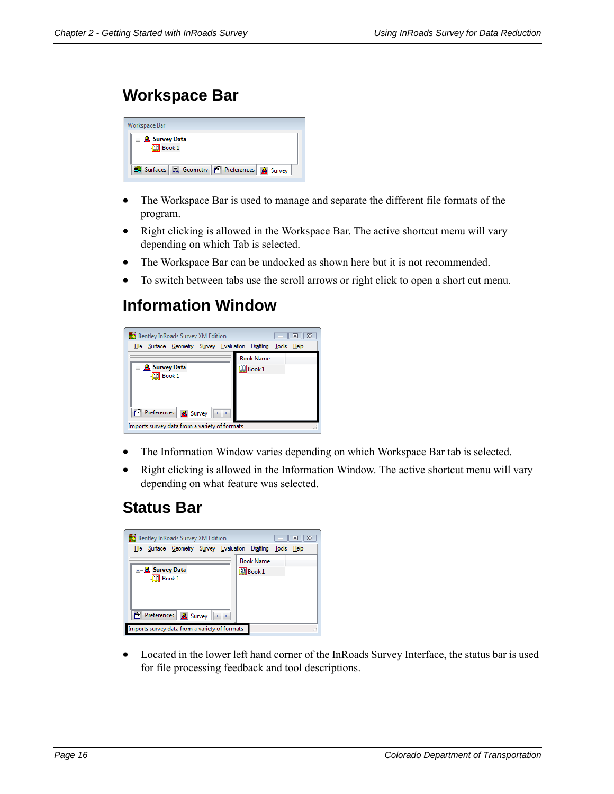### **Workspace Bar**

| Workspace Bar                                                   |
|-----------------------------------------------------------------|
| <b>E</b> Survey Data<br>$\Box$ Book 1                           |
| Surfaces <b>2</b> Geometry <b>1</b> Preferences <b>A</b> Survey |

- The Workspace Bar is used to manage and separate the different file formats of the program.
- Right clicking is allowed in the Workspace Bar. The active shortcut menu will vary depending on which Tab is selected.
- The Workspace Bar can be undocked as shown here but it is not recommended.
- To switch between tabs use the scroll arrows or right click to open a short cut menu.

### **Information Window**



- The Information Window varies depending on which Workspace Bar tab is selected.
- Right clicking is allowed in the Information Window. The active shortcut menu will vary depending on what feature was selected.

### **Status Bar**

| Bentley InRoads Survey XM Edition                           | $\Sigma$<br>$\vert$ o $\vert$ |
|-------------------------------------------------------------|-------------------------------|
| File Surface Geometry Survey Evaluation Drafting Tools Help |                               |
|                                                             | <b>Book Name</b>              |
| <b>B</b> Survey Data                                        | <b>Book 1</b>                 |
| $\Box$ Book 1                                               |                               |
|                                                             |                               |
|                                                             |                               |
| Preferences $\boxed{A}$ Survey $   \cdot    \cdot   $<br>m  |                               |
| Imports survey data from a variety of formats               |                               |

 Located in the lower left hand corner of the InRoads Survey Interface, the status bar is used for file processing feedback and tool descriptions.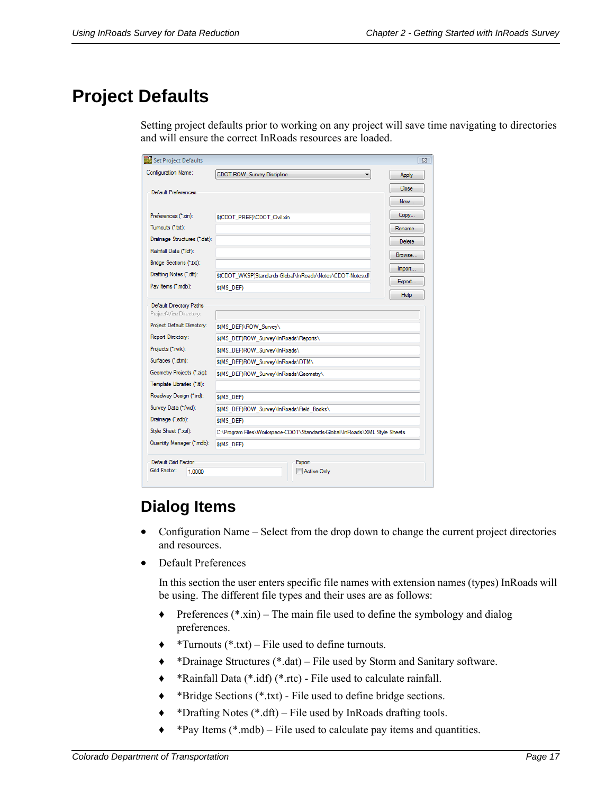# **Project Defaults**

Setting project defaults prior to working on any project will save time navigating to directories and will ensure the correct InRoads resources are loaded.

| Set Project Defaults                              |                                                                           | $\Sigma$      |
|---------------------------------------------------|---------------------------------------------------------------------------|---------------|
| Configuration Name:                               | CDOT ROW_Survey Discipline<br>▼                                           | Apply         |
| Default Preferences                               |                                                                           | Close         |
|                                                   |                                                                           | New           |
| Preferences (*xin):                               | \$(CDOT_PREF)\CDOT_Civil xin                                              | Copy          |
| Tumouts (*.bd):                                   |                                                                           | Rename        |
| Drainage Structures (*.dat):                      |                                                                           | <b>Delete</b> |
| Rainfall Data (".idf):                            |                                                                           | Browse        |
| Bridge Sections (*.txt):                          |                                                                           | Import        |
| Drafting Notes (*.dft):                           | \$(CDOT_WKSP)Standards-Global\InRoads\Notes\CDOT-Notes.df                 | Export        |
| Pay Items (*.mdb):                                | \$(MS_DEF)                                                                | <b>Help</b>   |
| Default Directory Paths<br>ProjectWise Directory: |                                                                           |               |
| Project Default Directory:                        | \$(MS DEF)\ROW Survey\                                                    |               |
| Report Directory:                                 | \$(MS_DEF)ROW_Survey\InRoads\Reports\                                     |               |
| Projects (*.rwk):                                 | \$(MS_DEF)ROW_Survey\InRoads\                                             |               |
| Surfaces (*.dtm):                                 | \$(MS_DEF)ROW_Survey\InRoads\DTM\                                         |               |
| Geometry Projects (*.alg):                        | \$(MS_DEF)ROW_Survey\InRoads\Geometry\                                    |               |
| Template Libraries (*.itl):                       |                                                                           |               |
| Roadway Design (*.ird):                           | \$(MS_DEF)                                                                |               |
| Survey Data (*.fwd):                              | \$(MS DEF)ROW Survey\InRoads\Field Books\                                 |               |
| Drainage (*.sdb):                                 | \$(MS DEF)                                                                |               |
| Style Sheet ("xsl):                               | C:\Program Files\Workspace-CDOT\Standards-Global\InRoads\XML Style Sheets |               |
| Quantity Manager (*.mdb):                         | \$(MS DEF)                                                                |               |
| Default Grid Factor                               | Export                                                                    |               |
| Grid Factor:<br>1.0000                            | Active Only                                                               |               |

### **Dialog Items**

- Configuration Name Select from the drop down to change the current project directories and resources.
- Default Preferences

In this section the user enters specific file names with extension names (types) InRoads will be using. The different file types and their uses are as follows:

- $\triangle$  Preferences (\*.xin) The main file used to define the symbology and dialog preferences.
- $\triangleleft$  \*Turnouts (\*.txt) File used to define turnouts.
- ♦ \*Drainage Structures (\*.dat) File used by Storm and Sanitary software.
- ♦ \*Rainfall Data (\*.idf) (\*.rtc) File used to calculate rainfall.
- ♦ \*Bridge Sections (\*.txt) File used to define bridge sections.
- ♦ \*Drafting Notes (\*.dft) File used by InRoads drafting tools.
- $\triangle$  \*Pay Items (\*.mdb) File used to calculate pay items and quantities.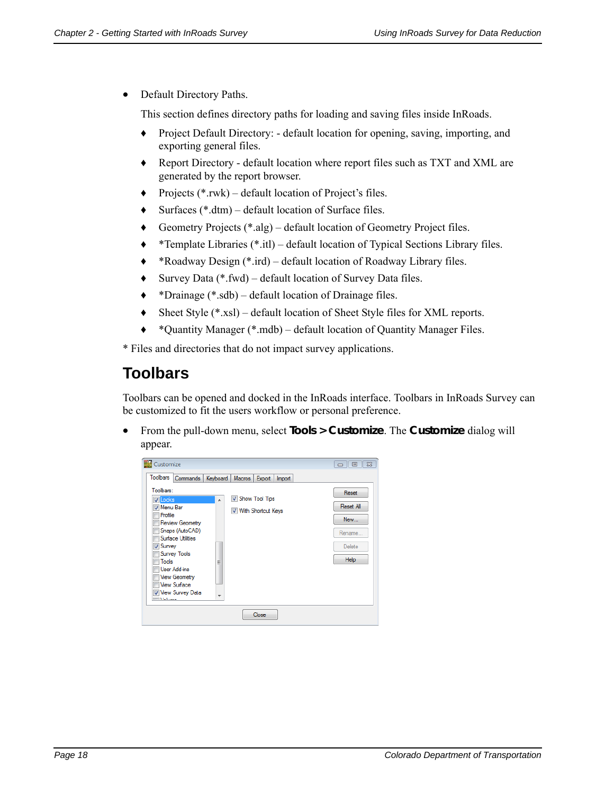• Default Directory Paths.

This section defines directory paths for loading and saving files inside InRoads.

- ♦ Project Default Directory: default location for opening, saving, importing, and exporting general files.
- ♦ Report Directory default location where report files such as TXT and XML are generated by the report browser.
- ♦ Projects (\*.rwk) default location of Project's files.
- ♦ Surfaces (\*.dtm) default location of Surface files.
- ♦ Geometry Projects (\*.alg) default location of Geometry Project files.
- ♦ \*Template Libraries (\*.itl) default location of Typical Sections Library files.
- ♦ \*Roadway Design (\*.ird) default location of Roadway Library files.
- ♦ Survey Data (\*.fwd) default location of Survey Data files.
- ♦ \*Drainage (\*.sdb) default location of Drainage files.
- ♦ Sheet Style (\*.xsl) default location of Sheet Style files for XML reports.
- ♦ \*Quantity Manager (\*.mdb) default location of Quantity Manager Files.

\* Files and directories that do not impact survey applications.

#### **Toolbars**

Toolbars can be opened and docked in the InRoads interface. Toolbars in InRoads Survey can be customized to fit the users workflow or personal preference.

 From the pull-down menu, select **Tools > Customize**. The **Customize** dialog will appear.

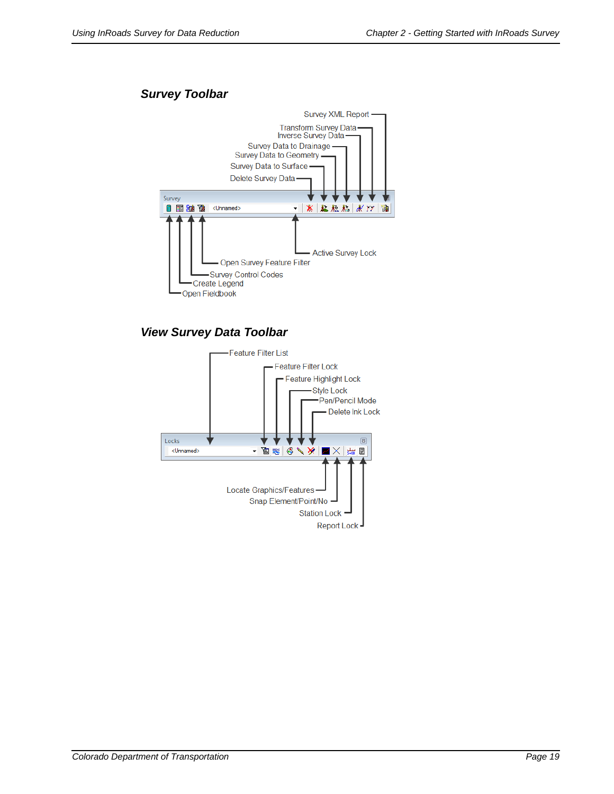#### *Survey Toolbar*



#### *View Survey Data Toolbar*

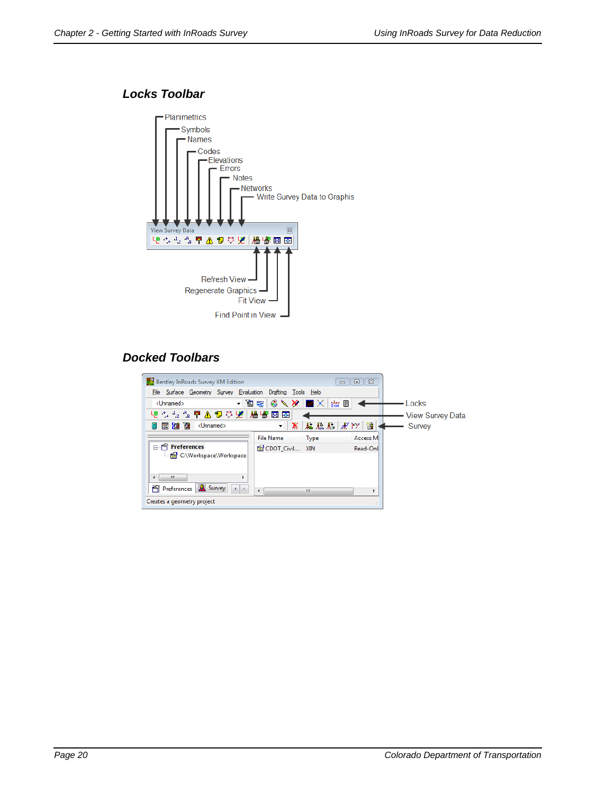#### *Locks Toolbar*



#### *Docked Toolbars*

| <b>Bentley InRoads Survey XM Edition</b>                           |                           | $\Box$      | $\Box$ $\boxtimes$ |                  |
|--------------------------------------------------------------------|---------------------------|-------------|--------------------|------------------|
| File Surface Geometry Survey Evaluation Drafting Tools Help        |                           |             |                    |                  |
| <unnamed></unnamed>                                                | ▸ ◙ ≋   6 V X   Z X   ₩ @ |             |                    | Locks            |
| や + +2 +8 ™ △ *D ▽ ½ │ 牆 ₩ ⊠ ⊠ छ                                   |                           |             |                    | View Survey Data |
| 国制商<br><unnamed><br/>П</unnamed>                                   | ۰                         | ※ おねお ボッ!   | 慞                  | Survey           |
|                                                                    | <b>File Name</b>          | <b>Type</b> | Access M           |                  |
| <b>Preferences</b>                                                 | CDOT Civil XIN            |             | Read-Onl           |                  |
| C:\Workspace\Workspace-                                            |                           |             |                    |                  |
|                                                                    |                           |             |                    |                  |
| m<br>∢                                                             |                           |             |                    |                  |
| <b>&amp;</b> Survey<br>m.<br>Preferences<br>$\left  \cdot \right $ |                           | Ш           |                    |                  |
| Creates a geometry project                                         |                           |             |                    |                  |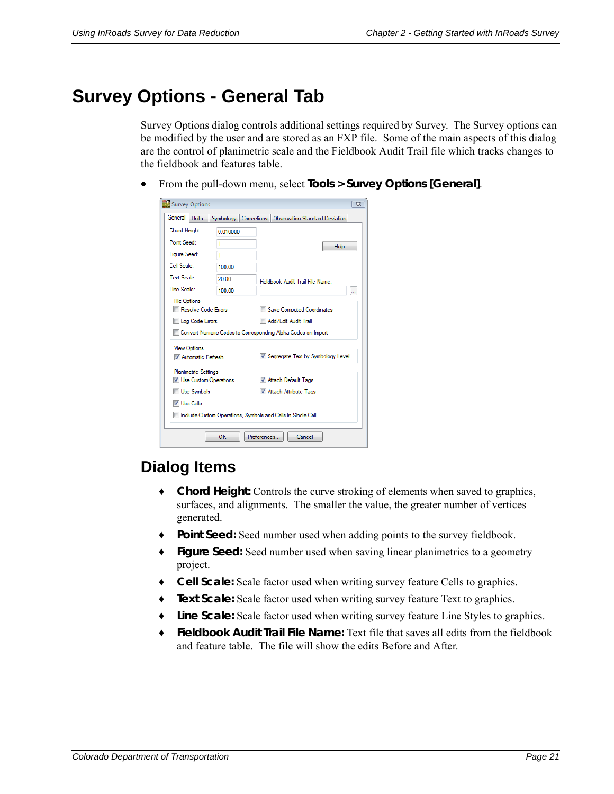# **Survey Options - General Tab**

Survey Options dialog controls additional settings required by Survey. The Survey options can be modified by the user and are stored as an FXP file. Some of the main aspects of this dialog are the control of planimetric scale and the Fieldbook Audit Trail file which tracks changes to the fieldbook and features table.

From the pull-down menu, select **Tools > Survey Options [General]**.

| Survey Options                             |           |                                                                       | $\Sigma$ |  |
|--------------------------------------------|-----------|-----------------------------------------------------------------------|----------|--|
| General<br><b>Units</b>                    | Symbology | Corrections<br>Observation Standard Deviation                         |          |  |
| Chord Height:                              | 0.010000  |                                                                       |          |  |
| Point Seed:                                | 1         | Help                                                                  |          |  |
| Figure Seed:                               | 1         |                                                                       |          |  |
| Cell Scale:                                | 100.00    |                                                                       |          |  |
| <b>Text Scale:</b>                         | 20.00     | Fieldbook Audit Trail File Name:                                      |          |  |
| Line Scale:                                | 100.00    |                                                                       |          |  |
| <b>File Options</b><br>Resolve Code Errors |           | Save Computed Coordinates                                             |          |  |
| Log Code Errors                            |           | Add/Edit Audit Trail                                                  |          |  |
|                                            |           | Convert Numeric Codes to Corresponding Alpha Codes on Import          |          |  |
| <b>View Options</b><br>Automatic Refresh   |           | V Segregate Text by Symbology Level                                   |          |  |
| <b>Planimetric Settings</b>                |           |                                                                       |          |  |
| <b>V</b> Use Custom Operations             |           | M Attach Default Tags                                                 |          |  |
| Use Symbols                                |           | Attach Attribute Tags                                                 |          |  |
| V Use Cells                                |           |                                                                       |          |  |
|                                            |           | <b>No Include Custom Operations, Symbols and Cells in Single Cell</b> |          |  |
|                                            | ΟК        | Preferences<br>Cancel                                                 |          |  |

### **Dialog Items**

- ♦ **Chord Height:** Controls the curve stroking of elements when saved to graphics, surfaces, and alignments. The smaller the value, the greater number of vertices generated.
- ♦ **Point Seed:** Seed number used when adding points to the survey fieldbook.
- ♦ **Figure Seed:** Seed number used when saving linear planimetrics to a geometry project.
- ♦ **Cell Scale:** Scale factor used when writing survey feature Cells to graphics.
- ♦ **Text Scale:** Scale factor used when writing survey feature Text to graphics.
- ♦ **Line Scale:** Scale factor used when writing survey feature Line Styles to graphics.
- ♦ **Fieldbook Audit Trail File Name:** Text file that saves all edits from the fieldbook and feature table. The file will show the edits Before and After.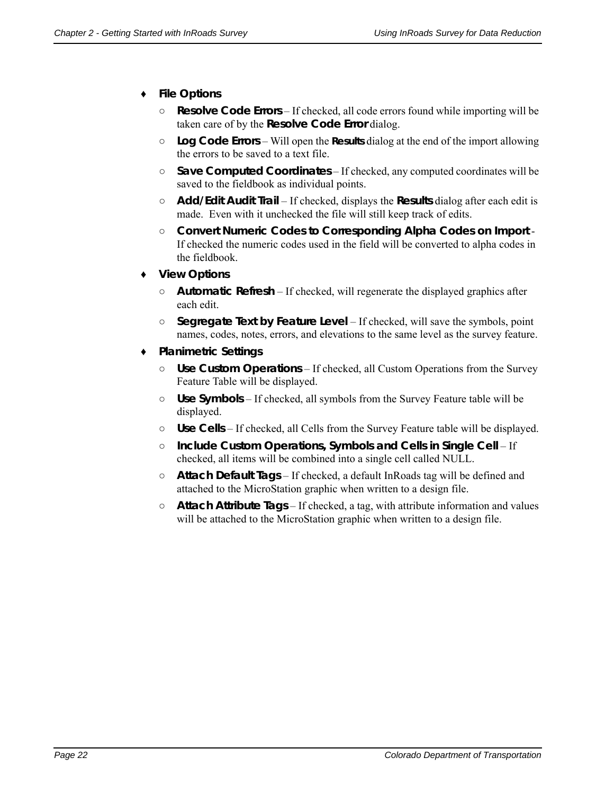#### ♦ **File Options**

- **○ Resolve Code Errors** If checked, all code errors found while importing will be taken care of by the **Resolve Code Error** dialog.
- **○ Log Code Errors**  Will open the **Results** dialog at the end of the import allowing the errors to be saved to a text file.
- **○ Save Computed Coordinates** If checked, any computed coordinates will be saved to the fieldbook as individual points.
- **○ Add/Edit Audit Trail**  If checked, displays the **Results** dialog after each edit is made. Even with it unchecked the file will still keep track of edits.
- **○ Convert Numeric Codes to Corresponding Alpha Codes on Import** If checked the numeric codes used in the field will be converted to alpha codes in the fieldbook.
- ♦ **View Options**
	- **○ Automatic Refresh**  If checked, will regenerate the displayed graphics after each edit.
	- **○ Segregate Text by Feature Level**  If checked, will save the symbols, point names, codes, notes, errors, and elevations to the same level as the survey feature.
- ♦ **Planimetric Settings**
	- **○ Use Custom Operations** If checked, all Custom Operations from the Survey Feature Table will be displayed.
	- **○ Use Symbols** If checked, all symbols from the Survey Feature table will be displayed.
	- **○ Use Cells** If checked, all Cells from the Survey Feature table will be displayed.
	- **○ Include Custom Operations, Symbols and Cells in Single Cell** If checked, all items will be combined into a single cell called NULL.
	- **○ Attach Default Tags** If checked, a default InRoads tag will be defined and attached to the MicroStation graphic when written to a design file.
	- **○ Attach Attribute Tags** If checked, a tag, with attribute information and values will be attached to the MicroStation graphic when written to a design file.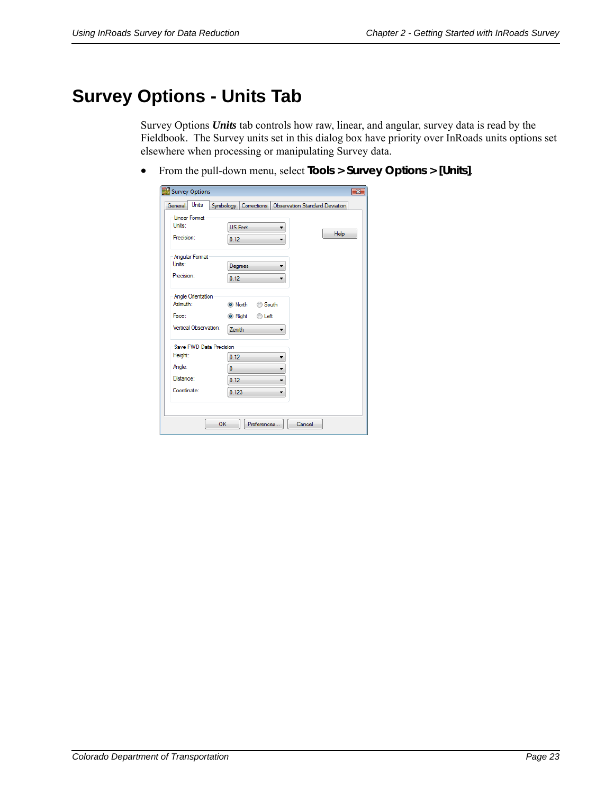# **Survey Options - Units Tab**

Survey Options *Units* tab controls how raw, linear, and angular, survey data is read by the Fieldbook. The Survey units set in this dialog box have priority over InRoads units options set elsewhere when processing or manipulating Survey data.

From the pull-down menu, select **Tools > Survey Options > [Units]**.

| Units<br>General         | Symbology   Corrections   Observation Standard Deviation |             |
|--------------------------|----------------------------------------------------------|-------------|
| <b>Linear Format</b>     |                                                          |             |
| Units:                   | <b>US</b> Feet                                           |             |
| Precision:               | 0.12<br>▼                                                | <b>Help</b> |
| <b>Angular Format</b>    |                                                          |             |
| Units:                   | Degrees                                                  |             |
| Precision:               | 0.12                                                     |             |
| <b>Angle Orientation</b> |                                                          |             |
| Azimuth:                 | O North<br>South                                         |             |
| Face:                    | <b>O</b> Right<br>C Left                                 |             |
| Vertical Observation:    | Zenith                                                   |             |
| Save FWD Data Precision  |                                                          |             |
| Height:                  | 0.12                                                     |             |
| Angle:                   | $\bf{0}$                                                 |             |
| Distance:                | 0.12<br>▼                                                |             |
| Coordinate:              | 0.123<br>▼                                               |             |
|                          |                                                          |             |